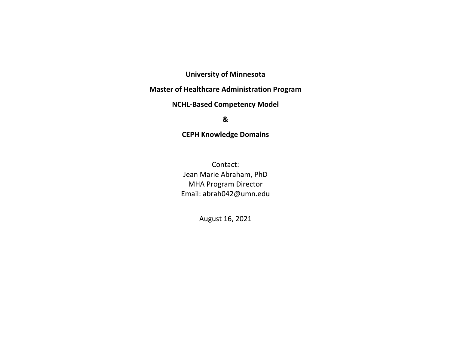# **University of Minnesota**

# **Master of Healthcare Administration Program**

## **NCHL-Based Competency Model**

### **&**

# **CEPH Knowledge Domains**

Contact: Jean Marie Abraham, PhD MHA Program Director Email: abrah042@umn.edu

August 16, 2021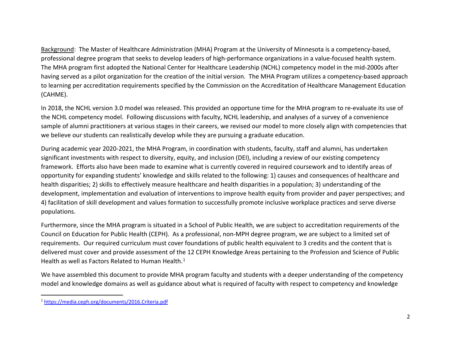<span id="page-1-0"></span>Background: The Master of Healthcare Administration (MHA) Program at the University of Minnesota is a competency-based, professional degree program that seeks to develop leaders of high-performance organizations in a value-focused health system. The MHA program first adopted the National Center for Healthcare Leadership (NCHL) competency model in the mid-2000s after having served as a pilot organization for the creation of the initial version. The MHA Program utilizes a competency-based approach to learning per accreditation requirements specified by the Commission on the Accreditation of Healthcare Management Education (CAHME).

In 2018, the NCHL version 3.0 model was released. This provided an opportune time for the MHA program to re-evaluate its use of the NCHL competency model. Following discussions with faculty, NCHL leadership, and analyses of a survey of a convenience sample of alumni practitioners at various stages in their careers, we revised our model to more closely align with competencies that we believe our students can realistically develop while they are pursuing a graduate education.

During academic year 2020-2021, the MHA Program, in coordination with students, faculty, staff and alumni, has undertaken significant investments with respect to diversity, equity, and inclusion (DEI), including a review of our existing competency framework. Efforts also have been made to examine what is currently covered in required coursework and to identify areas of opportunity for expanding students' knowledge and skills related to the following: 1) causes and consequences of healthcare and health disparities; 2) skills to effectively measure healthcare and health disparities in a population; 3) understanding of the development, implementation and evaluation of interventions to improve health equity from provider and payer perspectives; and 4) facilitation of skill development and values formation to successfully promote inclusive workplace practices and serve diverse populations.

Furthermore, since the MHA program is situated in a School of Public Health, we are subject to accreditation requirements of the Council on Education for Public Health (CEPH). As a professional, non-MPH degree program, we are subject to a limited set of requirements. Our required curriculum must cover foundations of public health equivalent to 3 credits and the content that is delivered must cover and provide assessment of the 12 CEPH Knowledge Areas pertaining to the Profession and Science of Public Health as well as Factors Related to Human Health. $^1$  $^1$ 

We have assembled this document to provide MHA program faculty and students with a deeper understanding of the competency model and knowledge domains as well as guidance about what is required of faculty with respect to competency and knowledge

 <sup>1</sup> <https://media.ceph.org/documents/2016.Criteria.pdf>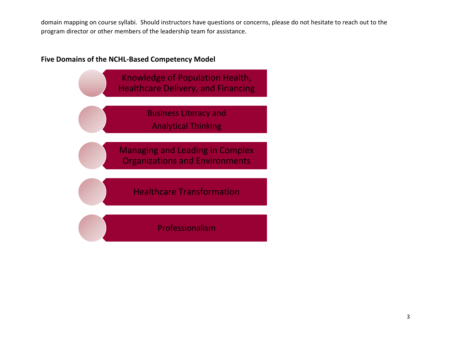domain mapping on course syllabi. Should instructors have questions or concerns, please do not hesitate to reach out to the program director or other members of the leadership team for assistance.

# **Five Domains of the NCHL-Based Competency Model**



Professionalism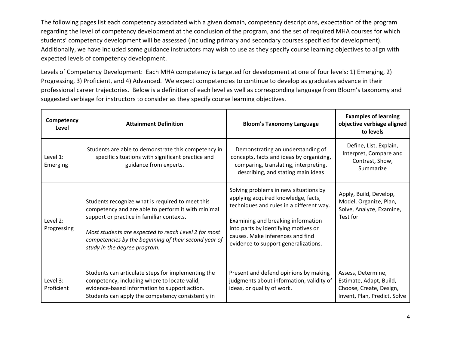The following pages list each competency associated with a given domain, competency descriptions, expectation of the program regarding the level of competency development at the conclusion of the program, and the set of required MHA courses for which students' competency development will be assessed (including primary and secondary courses specified for development). Additionally, we have included some guidance instructors may wish to use as they specify course learning objectives to align with expected levels of competency development.

Levels of Competency Development: Each MHA competency is targeted for development at one of four levels: 1) Emerging, 2) Progressing, 3) Proficient, and 4) Advanced. We expect competencies to continue to develop as graduates advance in their professional career trajectories. Below is a definition of each level as well as corresponding language from Bloom's taxonomy and suggested verbiage for instructors to consider as they specify course learning objectives.

| Competency<br>Level     | <b>Attainment Definition</b>                                                                                                                                                                                                                                                                         | <b>Bloom's Taxonomy Language</b>                                                                                                                                                                                                                                                   | <b>Examples of learning</b><br>objective verbiage aligned<br>to levels                                   |
|-------------------------|------------------------------------------------------------------------------------------------------------------------------------------------------------------------------------------------------------------------------------------------------------------------------------------------------|------------------------------------------------------------------------------------------------------------------------------------------------------------------------------------------------------------------------------------------------------------------------------------|----------------------------------------------------------------------------------------------------------|
| Level 1:<br>Emerging    | Students are able to demonstrate this competency in<br>specific situations with significant practice and<br>guidance from experts.                                                                                                                                                                   | Demonstrating an understanding of<br>concepts, facts and ideas by organizing,<br>comparing, translating, interpreting,<br>describing, and stating main ideas                                                                                                                       | Define, List, Explain,<br>Interpret, Compare and<br>Contrast, Show,<br>Summarize                         |
| Level 2:<br>Progressing | Students recognize what is required to meet this<br>competency and are able to perform it with minimal<br>support or practice in familiar contexts.<br>Most students are expected to reach Level 2 for most<br>competencies by the beginning of their second year of<br>study in the degree program. | Solving problems in new situations by<br>applying acquired knowledge, facts,<br>techniques and rules in a different way.<br>Examining and breaking information<br>into parts by identifying motives or<br>causes. Make inferences and find<br>evidence to support generalizations. | Apply, Build, Develop,<br>Model, Organize, Plan,<br>Solve, Analyze, Examine,<br>Test for                 |
| Level 3:<br>Proficient  | Students can articulate steps for implementing the<br>competency, including where to locate valid,<br>evidence-based information to support action.<br>Students can apply the competency consistently in                                                                                             | Present and defend opinions by making<br>judgments about information, validity of<br>ideas, or quality of work.                                                                                                                                                                    | Assess, Determine,<br>Estimate, Adapt, Build,<br>Choose, Create, Design,<br>Invent, Plan, Predict, Solve |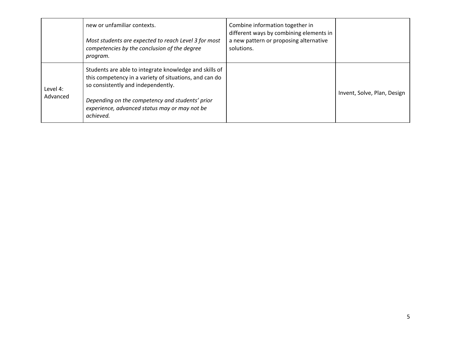|                      | new or unfamiliar contexts.<br>Most students are expected to reach Level 3 for most<br>competencies by the conclusion of the degree<br>program.                                                                                                                         | Combine information together in<br>different ways by combining elements in<br>a new pattern or proposing alternative<br>solutions. |                             |
|----------------------|-------------------------------------------------------------------------------------------------------------------------------------------------------------------------------------------------------------------------------------------------------------------------|------------------------------------------------------------------------------------------------------------------------------------|-----------------------------|
| Level 4:<br>Advanced | Students are able to integrate knowledge and skills of<br>this competency in a variety of situations, and can do<br>so consistently and independently.<br>Depending on the competency and students' prior<br>experience, advanced status may or may not be<br>achieved. |                                                                                                                                    | Invent, Solve, Plan, Design |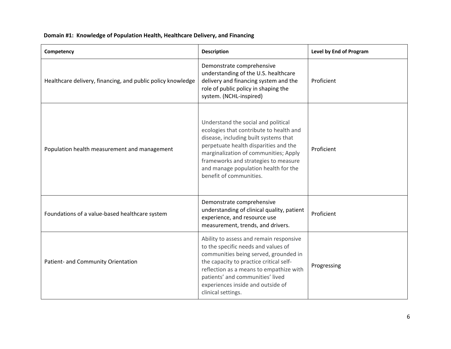| Competency                                                  | <b>Description</b>                                                                                                                                                                                                                                                                                                   | Level by End of Program |
|-------------------------------------------------------------|----------------------------------------------------------------------------------------------------------------------------------------------------------------------------------------------------------------------------------------------------------------------------------------------------------------------|-------------------------|
| Healthcare delivery, financing, and public policy knowledge | Demonstrate comprehensive<br>understanding of the U.S. healthcare<br>delivery and financing system and the<br>role of public policy in shaping the<br>system. (NCHL-inspired)                                                                                                                                        | Proficient              |
| Population health measurement and management                | Understand the social and political<br>ecologies that contribute to health and<br>disease, including built systems that<br>perpetuate health disparities and the<br>marginalization of communities; Apply<br>frameworks and strategies to measure<br>and manage population health for the<br>benefit of communities. | Proficient              |
| Foundations of a value-based healthcare system              | Demonstrate comprehensive<br>understanding of clinical quality, patient<br>experience, and resource use<br>measurement, trends, and drivers.                                                                                                                                                                         | Proficient              |
| Patient- and Community Orientation                          | Ability to assess and remain responsive<br>to the specific needs and values of<br>communities being served, grounded in<br>the capacity to practice critical self-<br>reflection as a means to empathize with<br>patients' and communities' lived<br>experiences inside and outside of<br>clinical settings.         | Progressing             |

#### **Domain #1: Knowledge of Population Health, Healthcare Delivery, and Financing**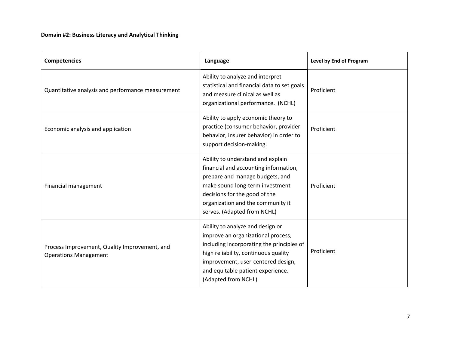| <b>Competencies</b>                                                           | Language                                                                                                                                                                                                                                                      | Level by End of Program |
|-------------------------------------------------------------------------------|---------------------------------------------------------------------------------------------------------------------------------------------------------------------------------------------------------------------------------------------------------------|-------------------------|
| Quantitative analysis and performance measurement                             | Ability to analyze and interpret<br>statistical and financial data to set goals<br>and measure clinical as well as<br>organizational performance. (NCHL)                                                                                                      | Proficient              |
| Economic analysis and application                                             | Ability to apply economic theory to<br>practice (consumer behavior, provider<br>behavior, insurer behavior) in order to<br>support decision-making.                                                                                                           | Proficient              |
| Financial management                                                          | Ability to understand and explain<br>financial and accounting information,<br>prepare and manage budgets, and<br>make sound long-term investment<br>decisions for the good of the<br>organization and the community it<br>serves. (Adapted from NCHL)         | Proficient              |
| Process Improvement, Quality Improvement, and<br><b>Operations Management</b> | Ability to analyze and design or<br>improve an organizational process,<br>including incorporating the principles of<br>high reliability, continuous quality<br>improvement, user-centered design,<br>and equitable patient experience.<br>(Adapted from NCHL) | Proficient              |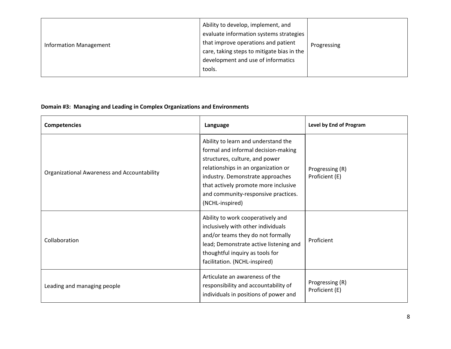| <b>Information Management</b> | Ability to develop, implement, and<br>evaluate information systems strategies<br>that improve operations and patient<br>care, taking steps to mitigate bias in the<br>development and use of informatics<br>tools. | Progressing |
|-------------------------------|--------------------------------------------------------------------------------------------------------------------------------------------------------------------------------------------------------------------|-------------|
|-------------------------------|--------------------------------------------------------------------------------------------------------------------------------------------------------------------------------------------------------------------|-------------|

## **Domain #3: Managing and Leading in Complex Organizations and Environments**

| <b>Competencies</b>                                | Level by End of Program<br>Language                                                                                                                                                                                                                                                       |                                   |
|----------------------------------------------------|-------------------------------------------------------------------------------------------------------------------------------------------------------------------------------------------------------------------------------------------------------------------------------------------|-----------------------------------|
| <b>Organizational Awareness and Accountability</b> | Ability to learn and understand the<br>formal and informal decision-making<br>structures, culture, and power<br>relationships in an organization or<br>industry. Demonstrate approaches<br>that actively promote more inclusive<br>and community-responsive practices.<br>(NCHL-inspired) | Progressing (R)<br>Proficient (E) |
| Collaboration                                      | Ability to work cooperatively and<br>inclusively with other individuals<br>and/or teams they do not formally<br>lead; Demonstrate active listening and<br>thoughtful inquiry as tools for<br>facilitation. (NCHL-inspired)                                                                | Proficient                        |
| Leading and managing people                        | Articulate an awareness of the<br>responsibility and accountability of<br>individuals in positions of power and                                                                                                                                                                           | Progressing (R)<br>Proficient (E) |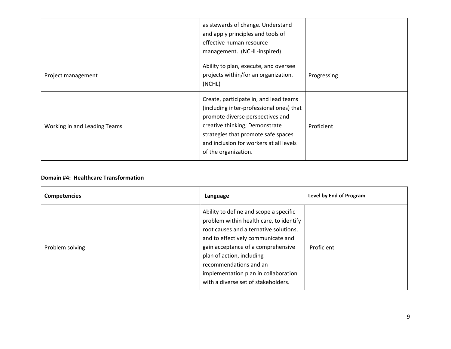|                              | as stewards of change. Understand<br>and apply principles and tools of<br>effective human resource<br>management. (NCHL-inspired)                                                                                                                                  |             |
|------------------------------|--------------------------------------------------------------------------------------------------------------------------------------------------------------------------------------------------------------------------------------------------------------------|-------------|
| Project management           | Ability to plan, execute, and oversee<br>projects within/for an organization.<br>(NCHL)                                                                                                                                                                            | Progressing |
| Working in and Leading Teams | Create, participate in, and lead teams<br>(including inter-professional ones) that<br>promote diverse perspectives and<br>creative thinking; Demonstrate<br>strategies that promote safe spaces<br>and inclusion for workers at all levels<br>of the organization. | Proficient  |

### **Domain #4: Healthcare Transformation**

| <b>Competencies</b> | Language                                                                                                                                                                                                                                                                                                                                      | Level by End of Program |
|---------------------|-----------------------------------------------------------------------------------------------------------------------------------------------------------------------------------------------------------------------------------------------------------------------------------------------------------------------------------------------|-------------------------|
| Problem solving     | Ability to define and scope a specific<br>problem within health care, to identify<br>root causes and alternative solutions,<br>and to effectively communicate and<br>gain acceptance of a comprehensive<br>plan of action, including<br>recommendations and an<br>implementation plan in collaboration<br>with a diverse set of stakeholders. | Proficient              |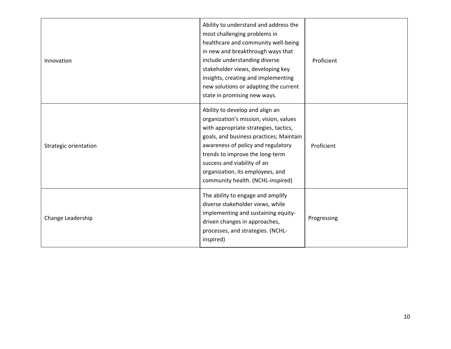| Innovation            | Ability to understand and address the<br>most challenging problems in<br>healthcare and community well-being<br>in new and breakthrough ways that<br>include understanding diverse<br>Proficient<br>stakeholder views, developing key<br>insights, creating and implementing<br>new solutions or adapting the current<br>state in promising new ways. |             |
|-----------------------|-------------------------------------------------------------------------------------------------------------------------------------------------------------------------------------------------------------------------------------------------------------------------------------------------------------------------------------------------------|-------------|
| Strategic orientation | Ability to develop and align an<br>organization's mission, vision, values<br>with appropriate strategies, tactics,<br>goals, and business practices; Maintain<br>awareness of policy and regulatory<br>trends to improve the long-term<br>success and viability of an<br>organization, its employees, and<br>community health. (NCHL-inspired)        | Proficient  |
| Change Leadership     | The ability to engage and amplify<br>diverse stakeholder views, while<br>implementing and sustaining equity-<br>driven changes in approaches,<br>processes, and strategies. (NCHL-<br>inspired)                                                                                                                                                       | Progressing |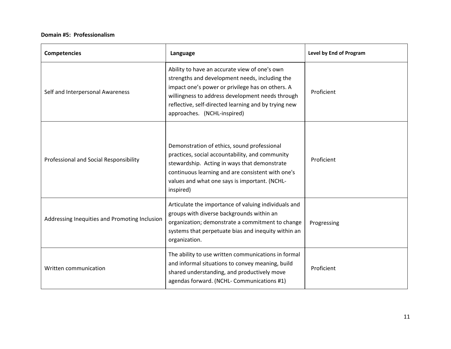#### **Domain #5: Professionalism**

| <b>Competencies</b>                           | Language                                                                                                                                                                                                                                                                                       | Level by End of Program |
|-----------------------------------------------|------------------------------------------------------------------------------------------------------------------------------------------------------------------------------------------------------------------------------------------------------------------------------------------------|-------------------------|
| Self and Interpersonal Awareness              | Ability to have an accurate view of one's own<br>strengths and development needs, including the<br>impact one's power or privilege has on others. A<br>willingness to address development needs through<br>reflective, self-directed learning and by trying new<br>approaches. (NCHL-inspired) | Proficient              |
| Professional and Social Responsibility        | Demonstration of ethics, sound professional<br>practices, social accountability, and community<br>stewardship. Acting in ways that demonstrate<br>continuous learning and are consistent with one's<br>values and what one says is important. (NCHL-<br>inspired)                              | Proficient              |
| Addressing Inequities and Promoting Inclusion | Articulate the importance of valuing individuals and<br>groups with diverse backgrounds within an<br>organization; demonstrate a commitment to change<br>systems that perpetuate bias and inequity within an<br>organization.                                                                  | Progressing             |
| Written communication                         | The ability to use written communications in formal<br>and informal situations to convey meaning, build<br>shared understanding, and productively move<br>agendas forward. (NCHL- Communications #1)                                                                                           | Proficient              |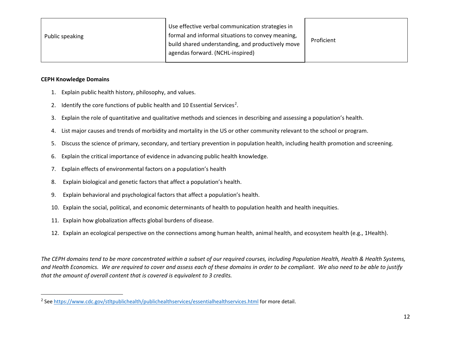<span id="page-11-0"></span>

| Public speaking | Use effective verbal communication strategies in<br>formal and informal situations to convey meaning,<br>build shared understanding, and productively move<br>agendas forward. (NCHL-inspired) | Proficient |
|-----------------|------------------------------------------------------------------------------------------------------------------------------------------------------------------------------------------------|------------|
|-----------------|------------------------------------------------------------------------------------------------------------------------------------------------------------------------------------------------|------------|

#### **CEPH Knowledge Domains**

- 1. Explain public health history, philosophy, and values.
- [2](#page-11-0). Identify the core functions of public health and 10 Essential Services<sup>2</sup>.
- 3. Explain the role of quantitative and qualitative methods and sciences in describing and assessing a population's health.
- 4. List major causes and trends of morbidity and mortality in the US or other community relevant to the school or program.
- 5. Discuss the science of primary, secondary, and tertiary prevention in population health, including health promotion and screening.
- 6. Explain the critical importance of evidence in advancing public health knowledge.
- 7. Explain effects of environmental factors on a population's health
- 8. Explain biological and genetic factors that affect a population's health.
- 9. Explain behavioral and psychological factors that affect a population's health.
- 10. Explain the social, political, and economic determinants of health to population health and health inequities.
- 11. Explain how globalization affects global burdens of disease.
- 12. Explain an ecological perspective on the connections among human health, animal health, and ecosystem health (e.g., 1Health).

*The CEPH domains tend to be more concentrated within a subset of our required courses, including Population Health, Health & Health Systems, and Health Economics. We are required to cover and assess each of these domains in order to be compliant. We also need to be able to justify that the amount of overall content that is covered is equivalent to 3 credits.* 

<sup>&</sup>lt;sup>2</sup> Se[e https://www.cdc.gov/stltpublichealth/publichealthservices/essentialhealthservices.html](https://www.cdc.gov/stltpublichealth/publichealthservices/essentialhealthservices.html) for more detail.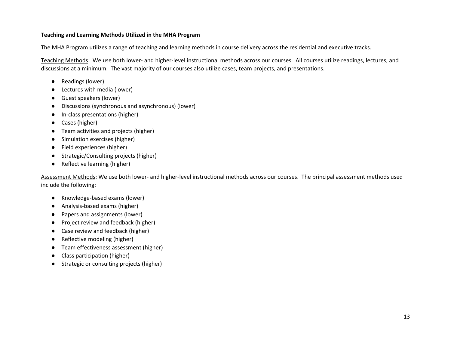#### **Teaching and Learning Methods Utilized in the MHA Program**

The MHA Program utilizes a range of teaching and learning methods in course delivery across the residential and executive tracks.

Teaching Methods: We use both lower- and higher-level instructional methods across our courses. All courses utilize readings, lectures, and discussions at a minimum. The vast majority of our courses also utilize cases, team projects, and presentations.

- Readings (lower)
- Lectures with media (lower)
- Guest speakers (lower)
- Discussions (synchronous and asynchronous) (lower)
- In-class presentations (higher)
- Cases (higher)
- Team activities and projects (higher)
- Simulation exercises (higher)
- Field experiences (higher)
- Strategic/Consulting projects (higher)
- Reflective learning (higher)

Assessment Methods: We use both lower- and higher-level instructional methods across our courses. The principal assessment methods used include the following:

- Knowledge-based exams (lower)
- Analysis-based exams (higher)
- Papers and assignments (lower)
- Project review and feedback (higher)
- Case review and feedback (higher)
- Reflective modeling (higher)
- Team effectiveness assessment (higher)
- Class participation (higher)
- Strategic or consulting projects (higher)